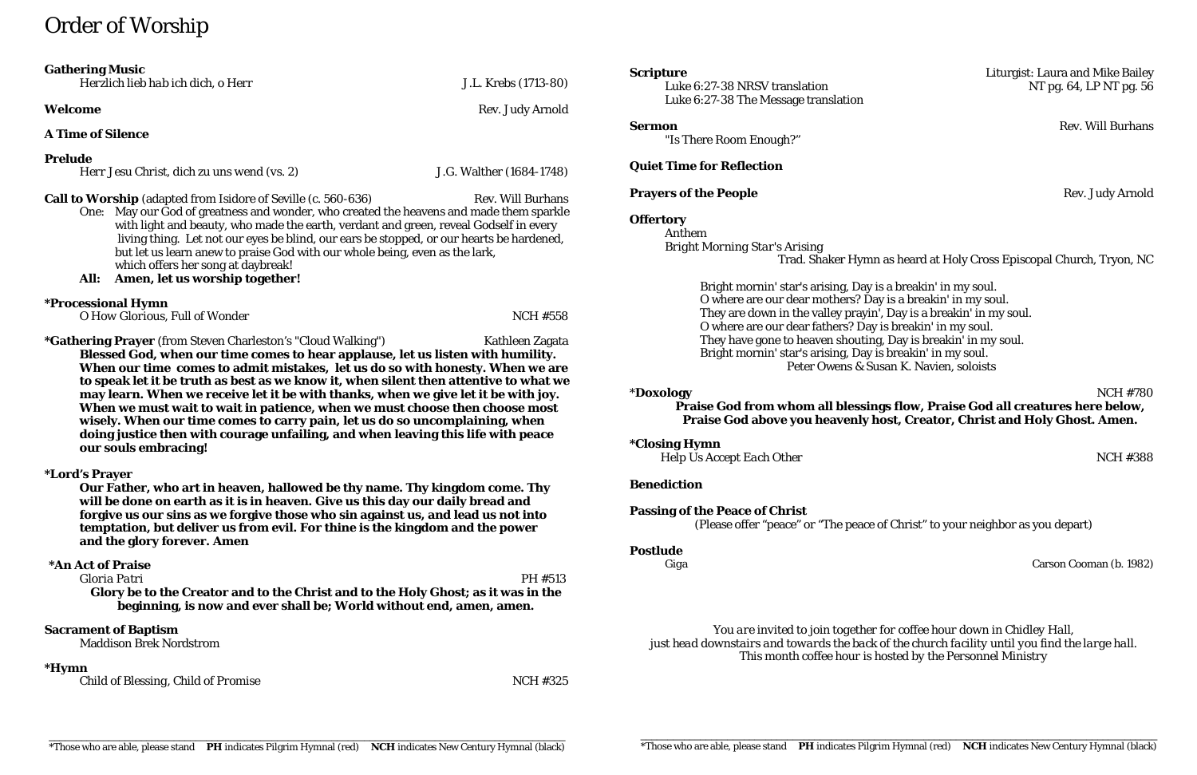# Order of Worship

| <b>Gathering Music</b> |  |
|------------------------|--|
|------------------------|--|

*Herzlich lieb hab ich dich, o Herr* J.L. Krebs (1713-80)

**A Time of Silence**

# **Prelude**

*Herr Jesu Christ, dich zu uns wend (vs. 2)* J.G. Walther (1684-1748)

**Call to Worship** (adapted from Isidore of Seville (c. 560-636) Rev. Will Burhans

- One: May our God of greatness and wonder, who created the heavens and made them sparkle with light and beauty, who made the earth, verdant and green, reveal Godself in every living thing. Let not our eyes be blind, our ears be stopped, or our hearts be hardened, but let us learn anew to praise God with our whole being, even as the lark, which offers her song at daybreak!
- **All: Amen, let us worship together!**

# **\*Processional Hymn**

\*Gathering Prayer (from Steven Charleston's "Cloud Walking") Kathleen Zagata **Blessed God, when our time comes to hear applause, let us listen with humility. When our time comes to admit mistakes, let us do so with honesty. When we are to speak let it be truth as best as we know it, when silent then attentive to what we may learn. When we receive let it be with thanks, when we give let it be with joy. When we must wait to wait in patience, when we must choose then choose most wisely. When our time comes to carry pain, let us do so uncomplaining, when doing justice then with courage unfailing, and when leaving this life with peace our souls embracing!** 

*O* How Glorious, Full of Wonder NCH #558

Luke 6:27-38 NRSV translation NT pg. 64, LP NT pg. 56 Luke 6:27-38 The Message translation

# **\*Lord's Prayer**

**Our Father, who art in heaven, hallowed be thy name. Thy kingdom come. Thy will be done on earth as it is in heaven. Give us this day our daily bread and forgive us our sins as we forgive those who sin against us, and lead us not into temptation, but deliver us from evil. For thine is the kingdom and the power and the glory forever. Amen**

## **\*An Act of Praise**

*Gloria Patri* PH #513 **Glory be to the Creator and to the Christ and to the Holy Ghost; as it was in the** 

**beginning, is now and ever shall be; World without end, amen, amen.**

## **Sacrament of Baptism**

Maddison Brek Nordstrom

## **\*Hymn**

*Child of Blessing, Child of Promise* NCH #325

"Is There Room Enough?"

# **Quiet Time for Reflection**

# **Prayers of the People** Rev. Judy Arnold

# **Offertory**

Anthem *Bright Morning Star's Arising*

Trad. Shaker Hymn as heard at Holy Cross Episcopal Church, Tryon, NC

Bright mornin' star's arising, Day is a breakin' in my soul. O where are our dear mothers? Day is a breakin' in my soul. They are down in the valley prayin', Day is a breakin' in my soul. O where are our dear fathers? Day is breakin' in my soul. They have gone to heaven shouting, Day is breakin' in my soul. Bright mornin' star's arising, Day is breakin' in my soul. Peter Owens & Susan K. Navien, soloists

\***Doxology** NCH #780 **Praise God from whom all blessings flow, Praise God all creatures here below, Praise God above you heavenly host, Creator, Christ and Holy Ghost. Amen.**

**\*Closing Hymn**

*Help Us Accept Each Other* NCH #388

# **Benediction**

**Passing of the Peace of Christ**

(Please offer "peace" or "The peace of Christ" to your neighbor as you depart)

# **Postlude**

*Giga* Carson Cooman (b. 1982)

*You are invited to join together for coffee hour down in Chidley Hall, just head downstairs and towards the back of the church facility until you find the large hall. This month coffee hour is hosted by the Personnel Ministry*

**Welcome** Rev. Judy Arnold

# **Scripture Constanting Scripture Liturgist: Laura and Mike Bailey**

**Sermon** Rev. Will Burhans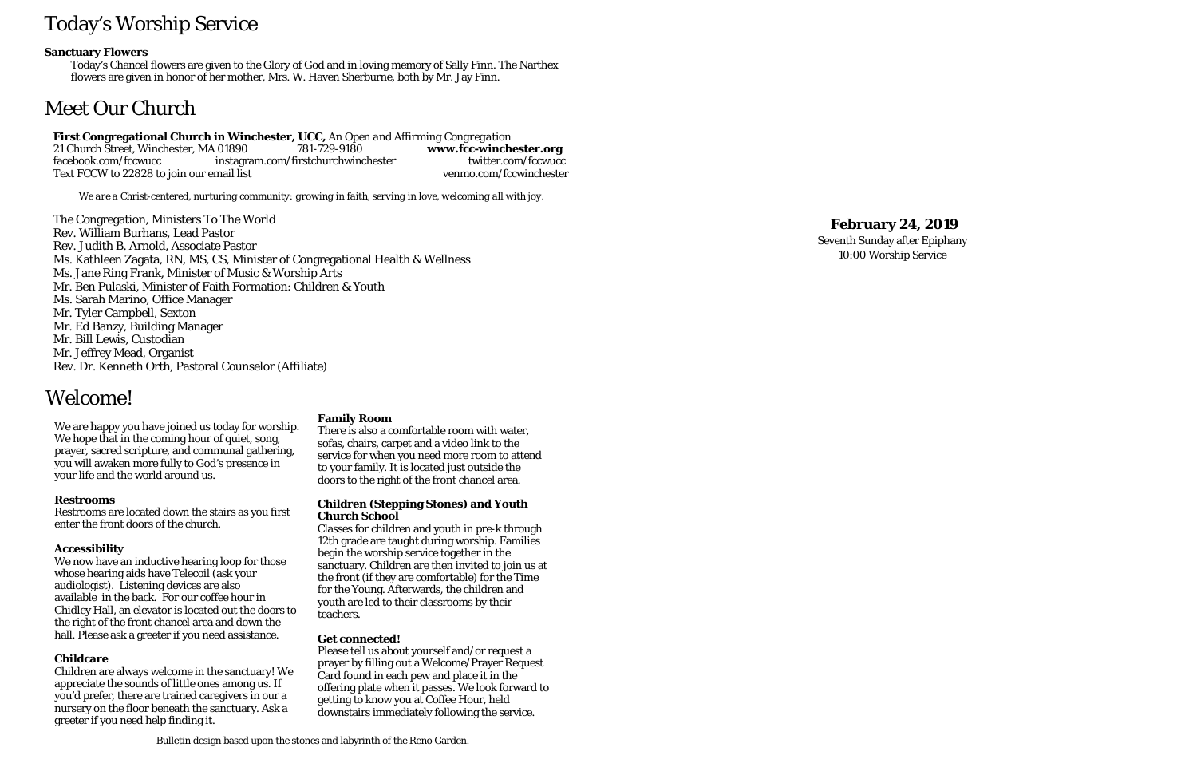# Today's Worship Service

### **Sanctuary Flowers**

Today's Chancel flowers are given to the Glory of God and in loving memory of Sally Finn. The Narthex flowers are given in honor of her mother, Mrs. W. Haven Sherburne, both by Mr. Jay Finn.

# Meet Our Church

#### **First Congregational Church in Winchester, UCC,** *An Open and Affirming Congregation* 21 Church Street, Winchester, MA 01890<br>facebook.com/fccwucc instagra 781-729-9180 **www.fcc-winchester.org**<br>irstchurchwinchester twitter.com/fccwucc **-winchester.org** instagram.com/firstchurchwinchester Text FCCW to 22828 to join our email list venmo.com/fccwinchester

*We are a Christ -centered, nurturing community: growing in faith, serving in love, welcoming all with joy.*

The Congregation, Ministers To The World Rev. William Burhans, Lead Pastor Rev. Judith B. Arnold, Associate Pastor Ms. Kathleen Zagata, RN, MS, CS, Minister of Congregational Health & Wellness Ms. Jane Ring Frank, Minister of Music & Worship Arts Mr. Ben Pulaski, Minister of Faith Formation: Children & Youth Ms. Sarah Marino, Office Manager Mr. Tyler Campbell, Sexton Mr. Ed Banzy, Building Manager Mr. Bill Lewis, Custodian Mr. Jeffrey Mead, Organist Rev. Dr. Kenneth Orth, Pastoral Counselor (Affiliate)

# **February 24, 201 9**

Seventh Sunday after Epiphany 10:00 Worship Service

# Welcome!

We are happy you have joined us today for worship. We hope that in the coming hour of quiet, song, prayer, sacred scripture, and communal gathering, you will awaken more fully to God's presence in your life and the world around us.

### **Restrooms**

Restrooms are located down the stairs as you first enter the front doors of the church.

## **Accessibility**

We now have an inductive hearing loop for those whose hearing aids have Telecoil (ask your audiologist). Listening devices are also available in the back. For our coffee hour in Chidley Hall, an elevator is located out the doors to the right of the front chancel area and down the hall. Please ask a greeter if you need assistance.

## **Childcare**

Children are always welcome in the sanctuary! We appreciate the sounds of little ones among us. If you'd prefer, there are trained caregivers in our a nursery on the floor beneath the sanctuary. Ask a greeter if you need help finding it.

### **Family Room**

There is also a comfortable room with water, sofas, chairs, carpet and a video link to the service for when you need more room to attend to your family. It is located just outside the doors to the right of the front chancel area.

#### **Children (Stepping Stones) and Youth Church School**

Classes for children and youth in pre -k through 12th grade are taught during worship. Families begin the worship service together in the sanctuary. Children are then invited to join us at the front (if they are comfortable) for the Time for the Young. Afterwards, the children and youth are led to their classrooms by their teachers.

### **Get connected!**

Please tell us about yourself and/or request a prayer by filling out a Welcome/Prayer Request Card found in each pew and place it in the offering plate when it passes. We look forward to getting to know you at Coffee Hour, held downstairs immediately following the service.